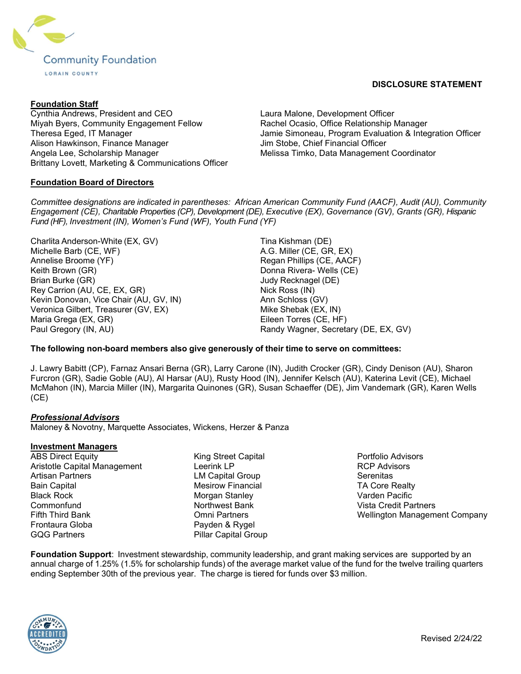

### Foundation Staff

Cynthia Andrews, President and CEO Miyah Byers, Community Engagement Fellow Theresa Eged, IT Manager Alison Hawkinson, Finance Manager Angela Lee, Scholarship Manager Brittany Lovett, Marketing & Communications Officer

## Foundation Board of Directors

Laura Malone, Development Officer Rachel Ocasio, Office Relationship Manager Jamie Simoneau, Program Evaluation & Integration Officer Jim Stobe, Chief Financial Officer Melissa Timko, Data Management Coordinator

Committee designations are indicated in parentheses: African American Community Fund (AACF), Audit (AU), Community Engagement (CE), Charitable Properties (CP), Development (DE), Executive (EX), Governance (GV), Grants (GR), Hispanic Fund (HF), Investment (IN), Women's Fund (WF), Youth Fund (YF)

Charlita Anderson-White (EX, GV) Michelle Barb (CE, WF) Annelise Broome (YF) Keith Brown (GR) Brian Burke (GR) Rey Carrion (AU, CE, EX, GR) Kevin Donovan, Vice Chair (AU, GV, IN) Veronica Gilbert, Treasurer (GV, EX) Maria Grega (EX, GR) Paul Gregory (IN, AU)

Tina Kishman (DE) A.G. Miller (CE, GR, EX) Regan Phillips (CE, AACF) Donna Rivera- Wells (CE) Judy Recknagel (DE) Nick Ross (IN) Ann Schloss (GV) Mike Shebak (EX, IN) Eileen Torres (CE, HF) Randy Wagner, Secretary (DE, EX, GV)

## The following non-board members also give generously of their time to serve on committees:

J. Lawry Babitt (CP), Farnaz Ansari Berna (GR), Larry Carone (IN), Judith Crocker (GR), Cindy Denison (AU), Sharon Furcron (GR), Sadie Goble (AU), Al Harsar (AU), Rusty Hood (IN), Jennifer Kelsch (AU), Katerina Levit (CE), Michael McMahon (IN), Marcia Miller (IN), Margarita Quinones (GR), Susan Schaeffer (DE), Jim Vandemark (GR), Karen Wells (CE)

#### Professional Advisors

Maloney & Novotny, Marquette Associates, Wickens, Herzer & Panza

#### Investment Managers

- ABS Direct Equity Aristotle Capital Management Artisan Partners Bain Capital Black Rock **Commonfund** Fifth Third Bank Frontaura Globa GQG Partners
- King Street Capital Leerink LP LM Capital Group Mesirow Financial Morgan Stanley Northwest Bank Omni Partners Payden & Rygel Pillar Capital Group

Portfolio Advisors RCP Advisors **Serenitas** TA Core Realty Varden Pacific Vista Credit Partners Wellington Management Company

Foundation Support: Investment stewardship, community leadership, and grant making services are supported by an annual charge of 1.25% (1.5% for scholarship funds) of the average market value of the fund for the twelve trailing quarters ending September 30th of the previous year. The charge is tiered for funds over \$3 million.



# DISCLOSURE STATEMENT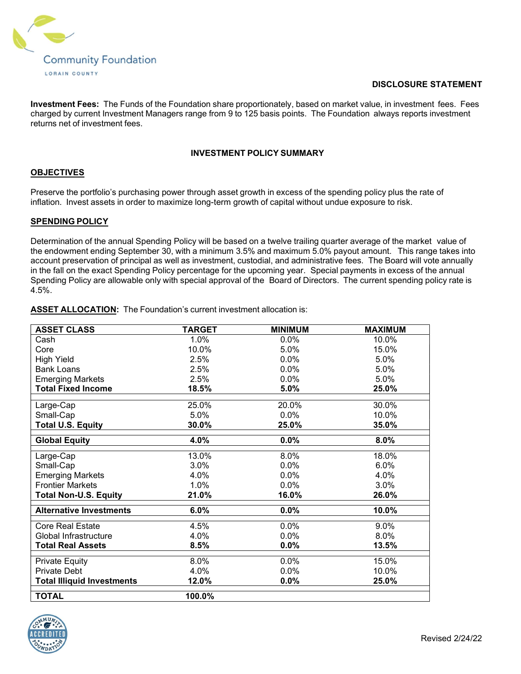

### DISCLOSURE STATEMENT

Investment Fees: The Funds of the Foundation share proportionately, based on market value, in investment fees. Fees charged by current Investment Managers range from 9 to 125 basis points. The Foundation always reports investment returns net of investment fees.

#### INVESTMENT POLICY SUMMARY

### **OBJECTIVES**

Preserve the portfolio's purchasing power through asset growth in excess of the spending policy plus the rate of inflation. Invest assets in order to maximize long-term growth of capital without undue exposure to risk.

### SPENDING POLICY

Determination of the annual Spending Policy will be based on a twelve trailing quarter average of the market value of the endowment ending September 30, with a minimum 3.5% and maximum 5.0% payout amount. This range takes into account preservation of principal as well as investment, custodial, and administrative fees. The Board will vote annually in the fall on the exact Spending Policy percentage for the upcoming year. Special payments in excess of the annual Spending Policy are allowable only with special approval of the Board of Directors. The current spending policy rate is 4.5%.

|  | <b>ASSET ALLOCATION:</b> The Foundation's current investment allocation is: |
|--|-----------------------------------------------------------------------------|
|--|-----------------------------------------------------------------------------|

| <b>ASSET CLASS</b>                | <b>TARGET</b> | <b>MINIMUM</b> | <b>MAXIMUM</b> |
|-----------------------------------|---------------|----------------|----------------|
| Cash                              | $1.0\%$       | 0.0%           | 10.0%          |
| Core                              | 10.0%         | 5.0%           | 15.0%          |
| <b>High Yield</b>                 | 2.5%          | 0.0%           | 5.0%           |
| <b>Bank Loans</b>                 | 2.5%          | 0.0%           | 5.0%           |
| <b>Emerging Markets</b>           | 2.5%          | 0.0%           | 5.0%           |
| <b>Total Fixed Income</b>         | 18.5%         | 5.0%           | 25.0%          |
|                                   |               |                |                |
| Large-Cap                         | 25.0%         | 20.0%          | 30.0%          |
| Small-Cap                         | 5.0%          | 0.0%           | 10.0%          |
| <b>Total U.S. Equity</b>          | 30.0%         | 25.0%          | 35.0%          |
| <b>Global Equity</b>              | 4.0%          | 0.0%           | 8.0%           |
| Large-Cap                         | 13.0%         | 8.0%           | 18.0%          |
| Small-Cap                         | 3.0%          | $0.0\%$        | 6.0%           |
| <b>Emerging Markets</b>           | 4.0%          | $0.0\%$        | 4.0%           |
| <b>Frontier Markets</b>           | 1.0%          | 0.0%           | 3.0%           |
| <b>Total Non-U.S. Equity</b>      | 21.0%         | 16.0%          | 26.0%          |
| <b>Alternative Investments</b>    | 6.0%          | 0.0%           | 10.0%          |
| <b>Core Real Estate</b>           | 4.5%          | 0.0%           | 9.0%           |
| Global Infrastructure             | 4.0%          | 0.0%           | 8.0%           |
| <b>Total Real Assets</b>          | 8.5%          | 0.0%           | 13.5%          |
| <b>Private Equity</b>             | 8.0%          | 0.0%           | 15.0%          |
| <b>Private Debt</b>               | 4.0%          | 0.0%           | 10.0%          |
|                                   |               |                |                |
| <b>Total Illiquid Investments</b> | 12.0%         | 0.0%           | 25.0%          |
| <b>TOTAL</b>                      | 100.0%        |                |                |